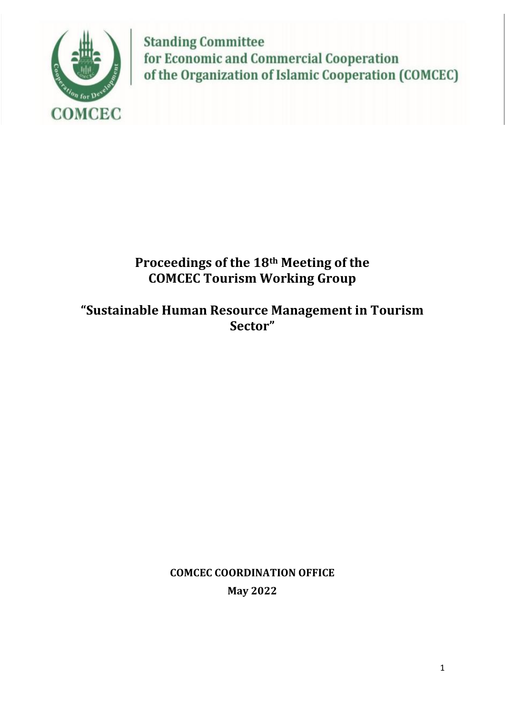

**Standing Committee** for Economic and Commercial Cooperation of the Organization of Islamic Cooperation (COMCEC)

# **Proceedings of the 18th Meeting of the COMCEC Tourism Working Group**

**"Sustainable Human Resource Management in Tourism Sector"**

> **COMCEC COORDINATION OFFICE May 2022**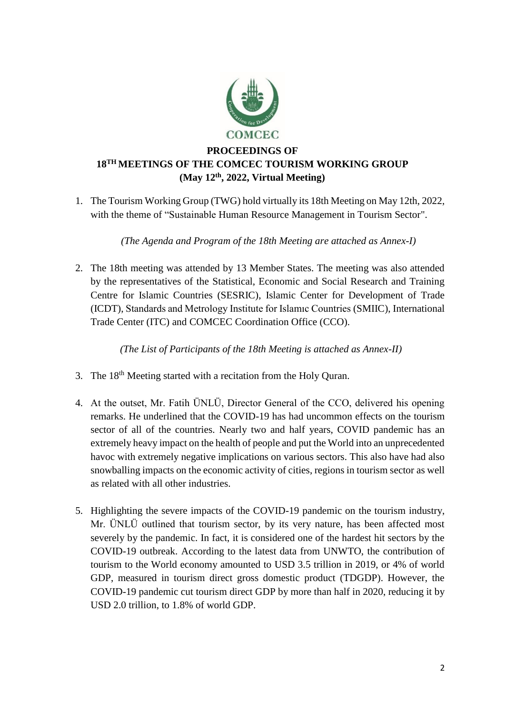

# **PROCEEDINGS OF 18 TH MEETINGS OF THE COMCEC TOURISM WORKING GROUP (May 12 th, 2022, Virtual Meeting)**

1. The Tourism Working Group (TWG) hold virtually its 18th Meeting on May 12th, 2022, with the theme of "Sustainable Human Resource Management in Tourism Sector".

*(The Agenda and Program of the 18th Meeting are attached as Annex-I)*

2. The 18th meeting was attended by 13 Member States. The meeting was also attended by the representatives of the Statistical, Economic and Social Research and Training Centre for Islamic Countries (SESRIC), Islamic Center for Development of Trade (ICDT), Standards and Metrology Institute for Islamıc Countries (SMIIC), International Trade Center (ITC) and COMCEC Coordination Office (CCO).

*(The List of Participants of the 18th Meeting is attached as Annex-II)*

- 3. The 18<sup>th</sup> Meeting started with a recitation from the Holy Quran.
- 4. At the outset, Mr. Fatih ÜNLÜ, Director General of the CCO, delivered his opening remarks. He underlined that the COVID-19 has had uncommon effects on the tourism sector of all of the countries. Nearly two and half years, COVID pandemic has an extremely heavy impact on the health of people and put the World into an unprecedented havoc with extremely negative implications on various sectors. This also have had also snowballing impacts on the economic activity of cities, regions in tourism sector as well as related with all other industries.
- 5. Highlighting the severe impacts of the COVID-19 pandemic on the tourism industry, Mr. ÜNLÜ outlined that tourism sector, by its very nature, has been affected most severely by the pandemic. In fact, it is considered one of the hardest hit sectors by the COVID-19 outbreak. According to the latest data from UNWTO, the contribution of tourism to the World economy amounted to USD 3.5 trillion in 2019, or 4% of world GDP, measured in tourism direct gross domestic product (TDGDP). However, the COVID-19 pandemic cut tourism direct GDP by more than half in 2020, reducing it by USD 2.0 trillion, to 1.8% of world GDP.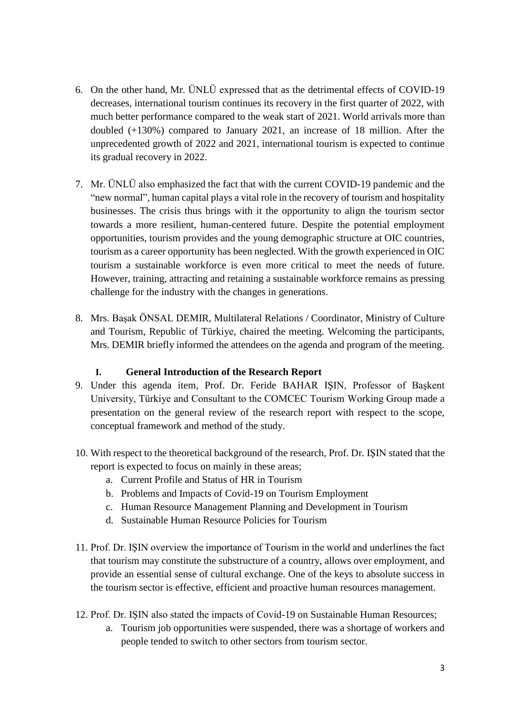- 6. On the other hand, Mr. ÜNLÜ expressed that as the detrimental effects of COVID-19 decreases, international tourism continues its recovery in the first quarter of 2022, with much better performance compared to the weak start of 2021. World arrivals more than doubled (+130%) compared to January 2021, an increase of 18 million. After the unprecedented growth of 2022 and 2021, international tourism is expected to continue its gradual recovery in 2022.
- 7. Mr. ÜNLÜ also emphasized the fact that with the current COVID-19 pandemic and the "new normal", human capital plays a vital role in the recovery of tourism and hospitality businesses. The crisis thus brings with it the opportunity to align the tourism sector towards a more resilient, human-centered future. Despite the potential employment opportunities, tourism provides and the young demographic structure at OIC countries, tourism as a career opportunity has been neglected. With the growth experienced in OIC tourism a sustainable workforce is even more critical to meet the needs of future. However, training, attracting and retaining a sustainable workforce remains as pressing challenge for the industry with the changes in generations.
- 8. Mrs. Başak ÖNSAL DEMIR, Multilateral Relations / Coordinator, Ministry of Culture and Tourism, Republic of Türkiye, chaired the meeting. Welcoming the participants, Mrs. DEMIR briefly informed the attendees on the agenda and program of the meeting.

#### **I. General Introduction of the Research Report**

- 9. Under this agenda item, Prof. Dr. Feride BAHAR IŞIN, Professor of Başkent University, Türkiye and Consultant to the COMCEC Tourism Working Group made a presentation on the general review of the research report with respect to the scope, conceptual framework and method of the study.
- 10. With respect to the theoretical background of the research, Prof. Dr. IŞIN stated that the report is expected to focus on mainly in these areas;
	- a. Current Profile and Status of HR in Tourism
	- b. Problems and Impacts of Covid-19 on Tourism Employment
	- c. Human Resource Management Planning and Development in Tourism
	- d. Sustainable Human Resource Policies for Tourism
- 11. Prof. Dr. IŞIN overview the importance of Tourism in the world and underlines the fact that tourism may constitute the substructure of a country, allows over employment, and provide an essential sense of cultural exchange. One of the keys to absolute success in the tourism sector is effective, efficient and proactive human resources management.
- 12. Prof. Dr. IŞIN also stated the impacts of Covid-19 on Sustainable Human Resources;
	- a. Tourism job opportunities were suspended, there was a shortage of workers and people tended to switch to other sectors from tourism sector.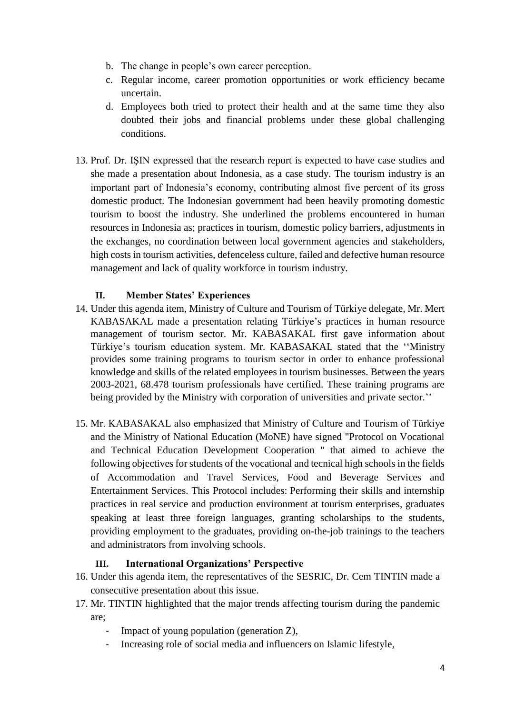- b. The change in people's own career perception.
- c. Regular income, career promotion opportunities or work efficiency became uncertain.
- d. Employees both tried to protect their health and at the same time they also doubted their jobs and financial problems under these global challenging conditions.
- 13. Prof. Dr. IŞIN expressed that the research report is expected to have case studies and she made a presentation about Indonesia, as a case study. The tourism industry is an important part of Indonesia's economy, contributing almost five percent of its gross domestic product. The Indonesian government had been heavily promoting domestic tourism to boost the industry. She underlined the problems encountered in human resources in Indonesia as; practices in tourism, domestic policy barriers, adjustments in the exchanges, no coordination between local government agencies and stakeholders, high costs in tourism activities, defenceless culture, failed and defective human resource management and lack of quality workforce in tourism industry.

# **II. Member States' Experiences**

- 14. Under this agenda item, Ministry of Culture and Tourism of Türkiye delegate, Mr. Mert KABASAKAL made a presentation relating Türkiye's practices in human resource management of tourism sector. Mr. KABASAKAL first gave information about Türkiye's tourism education system. Mr. KABASAKAL stated that the ''Ministry provides some training programs to tourism sector in order to enhance professional knowledge and skills of the related employees in tourism businesses. Between the years 2003-2021, 68.478 tourism professionals have certified. These training programs are being provided by the Ministry with corporation of universities and private sector."
- 15. Mr. KABASAKAL also emphasized that Ministry of Culture and Tourism of Türkiye and the Ministry of National Education (MoNE) have signed "Protocol on Vocational and Technical Education Development Cooperation " that aimed to achieve the following objectives for students of the vocational and tecnical high schools in the fields of Accommodation and Travel Services, Food and Beverage Services and Entertainment Services. This Protocol includes: Performing their skills and internship practices in real service and production environment at tourism enterprises, graduates speaking at least three foreign languages, granting scholarships to the students, providing employment to the graduates, providing on-the-job trainings to the teachers and administrators from involving schools.

#### **III. International Organizations' Perspective**

- 16. Under this agenda item, the representatives of the SESRIC, Dr. Cem TINTIN made a consecutive presentation about this issue.
- 17. Mr. TINTIN highlighted that the major trends affecting tourism during the pandemic are;
	- Impact of young population (generation Z),
	- Increasing role of social media and influencers on Islamic lifestyle,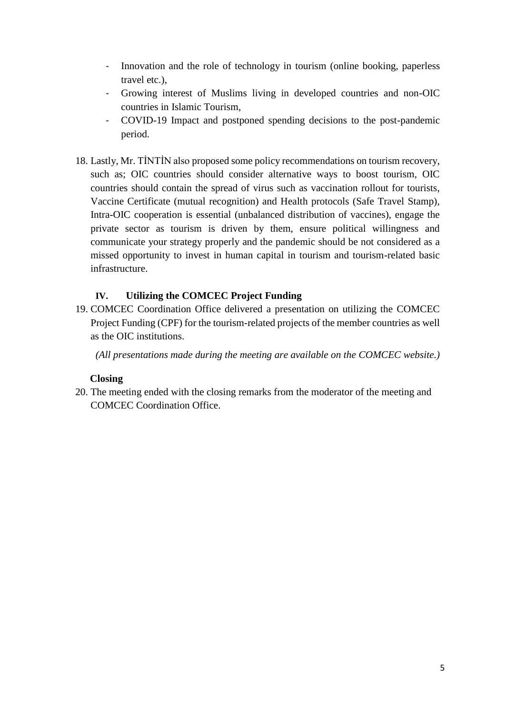- Innovation and the role of technology in tourism (online booking, paperless travel etc.),
- Growing interest of Muslims living in developed countries and non-OIC countries in Islamic Tourism,
- COVID-19 Impact and postponed spending decisions to the post-pandemic period.
- 18. Lastly, Mr. TİNTİN also proposed some policy recommendations on tourism recovery, such as; OIC countries should consider alternative ways to boost tourism, OIC countries should contain the spread of virus such as vaccination rollout for tourists, Vaccine Certificate (mutual recognition) and Health protocols (Safe Travel Stamp), Intra-OIC cooperation is essential (unbalanced distribution of vaccines), engage the private sector as tourism is driven by them, ensure political willingness and communicate your strategy properly and the pandemic should be not considered as a missed opportunity to invest in human capital in tourism and tourism-related basic infrastructure.

# **IV. Utilizing the COMCEC Project Funding**

19. COMCEC Coordination Office delivered a presentation on utilizing the COMCEC Project Funding (CPF) for the tourism-related projects of the member countries as well as the OIC institutions.

*(All presentations made during the meeting are available on the COMCEC website.)*

#### **Closing**

20. The meeting ended with the closing remarks from the moderator of the meeting and COMCEC Coordination Office.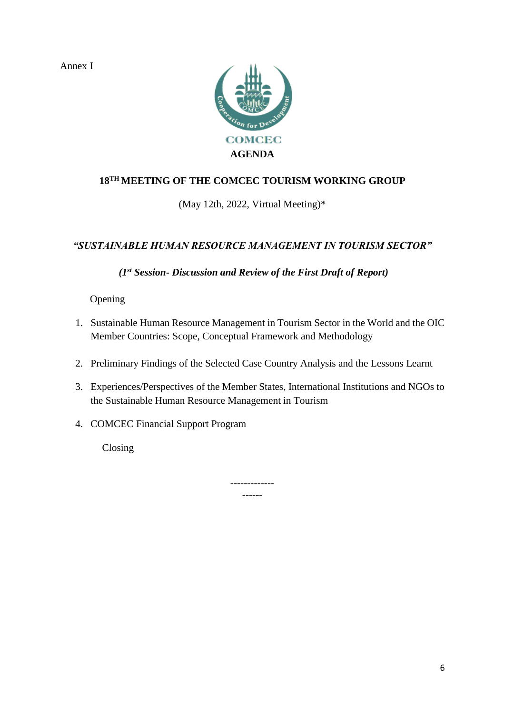Annex I



# **18TH MEETING OF THE COMCEC TOURISM WORKING GROUP**

# (May 12th, 2022, Virtual Meeting)\*

# *"SUSTAINABLE HUMAN RESOURCE MANAGEMENT IN TOURISM SECTOR"*

*(1st Session- Discussion and Review of the First Draft of Report)*

Opening

- 1. Sustainable Human Resource Management in Tourism Sector in the World and the OIC Member Countries: Scope, Conceptual Framework and Methodology
- 2. Preliminary Findings of the Selected Case Country Analysis and the Lessons Learnt
- 3. Experiences/Perspectives of the Member States, International Institutions and NGOs to the Sustainable Human Resource Management in Tourism
- 4. COMCEC Financial Support Program

Closing

------------- ------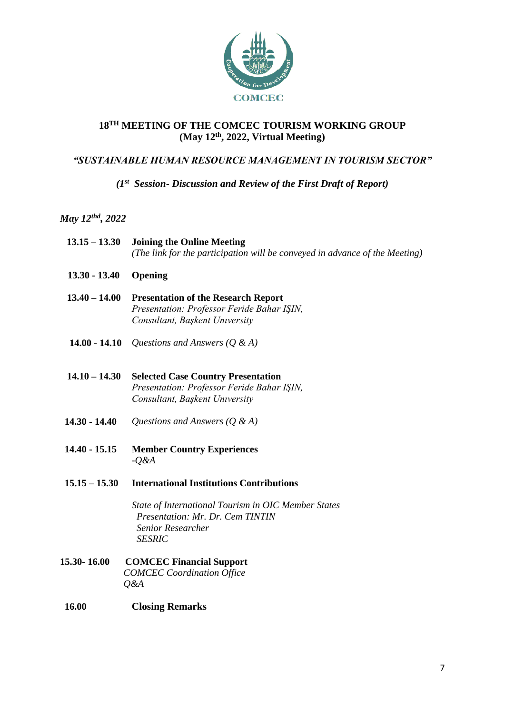

#### **18TH MEETING OF THE COMCEC TOURISM WORKING GROUP (May 12th, 2022, Virtual Meeting)**

# *"SUSTAINABLE HUMAN RESOURCE MANAGEMENT IN TOURISM SECTOR"*

#### *(1st Session- Discussion and Review of the First Draft of Report)*

# *May 12thd, 2022*

|                 | $13.15 - 13.30$ Joining the Online Meeting<br>(The link for the participation will be conveyed in advance of the Meeting)  |
|-----------------|----------------------------------------------------------------------------------------------------------------------------|
| $13.30 - 13.40$ | <b>Opening</b>                                                                                                             |
| $13.40 - 14.00$ | <b>Presentation of the Research Report</b><br>Presentation: Professor Feride Bahar ISIN,<br>Consultant, Başkent University |
|                 | <b>14.00 - 14.10</b> Questions and Answers $(Q \& A)$                                                                      |

- **14.10 – 14.30 Selected Case Country Presentation** *Presentation: Professor Feride Bahar IŞIN, Consultant, Başkent Unıversity*
- **14.30 - 14.40** *Questions and Answers (Q & A)*
- **14.40 - 15.15 Member Country Experiences** *-Q&A*
- **15.15 – 15.30 International Institutions Contributions**

*State of International Tourism in OIC Member States Presentation: Mr. Dr. Cem TINTIN Senior Researcher SESRIC* 

- **15.30- 16.00 COMCEC Financial Support**  *COMCEC Coordination Office Q&A*
- **16.00 Closing Remarks**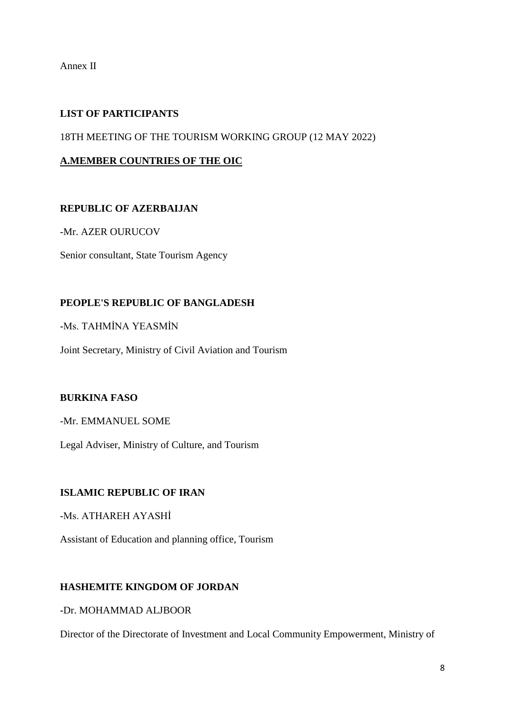Annex II

# **LIST OF PARTICIPANTS**

18TH MEETING OF THE TOURISM WORKING GROUP (12 MAY 2022)

### **A.MEMBER COUNTRIES OF THE OIC**

#### **REPUBLIC OF AZERBAIJAN**

-Mr. AZER OURUCOV

Senior consultant, State Tourism Agency

#### **PEOPLE'S REPUBLIC OF BANGLADESH**

-Ms. TAHMİNA YEASMİN

Joint Secretary, Ministry of Civil Aviation and Tourism

# **BURKINA FASO**

-Mr. EMMANUEL SOME

Legal Adviser, Ministry of Culture, and Tourism

#### **ISLAMIC REPUBLIC OF IRAN**

-Ms. ATHAREH AYASHİ

Assistant of Education and planning office, Tourism

#### **HASHEMITE KINGDOM OF JORDAN**

-Dr. MOHAMMAD ALJBOOR

Director of the Directorate of Investment and Local Community Empowerment, Ministry of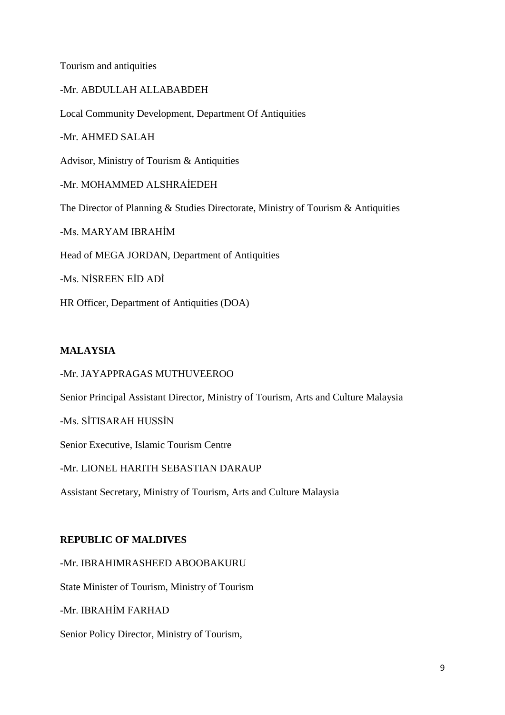Tourism and antiquities

-Mr. ABDULLAH ALLABABDEH Local Community Development, Department Of Antiquities -Mr. AHMED SALAH Advisor, Ministry of Tourism & Antiquities -Mr. MOHAMMED ALSHRAİEDEH The Director of Planning & Studies Directorate, Ministry of Tourism & Antiquities -Ms. MARYAM IBRAHİM Head of MEGA JORDAN, Department of Antiquities -Ms. NİSREEN EİD ADİ

#### **MALAYSIA**

-Mr. JAYAPPRAGAS MUTHUVEEROO

HR Officer, Department of Antiquities (DOA)

Senior Principal Assistant Director, Ministry of Tourism, Arts and Culture Malaysia

-Ms. SİTISARAH HUSSİN

Senior Executive, Islamic Tourism Centre

-Mr. LIONEL HARITH SEBASTIAN DARAUP

Assistant Secretary, Ministry of Tourism, Arts and Culture Malaysia

#### **REPUBLIC OF MALDIVES**

-Mr. IBRAHIMRASHEED ABOOBAKURU

State Minister of Tourism, Ministry of Tourism

-Mr. IBRAHİM FARHAD

Senior Policy Director, Ministry of Tourism,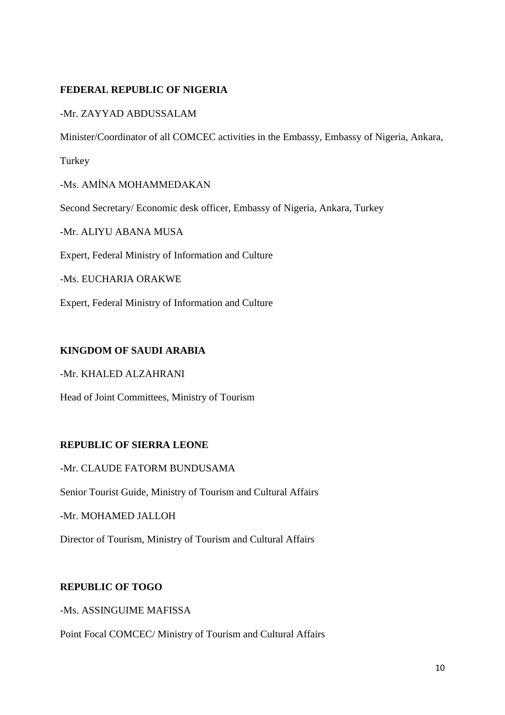# **FEDERAL REPUBLIC OF NIGERIA**

#### -Mr. ZAYYAD ABDUSSALAM

Minister/Coordinator of all COMCEC activities in the Embassy, Embassy of Nigeria, Ankara,

Turkey

-Ms. AMİNA MOHAMMEDAKAN

Second Secretary/ Economic desk officer, Embassy of Nigeria, Ankara, Turkey

-Mr. ALIYU ABANA MUSA

Expert, Federal Ministry of Information and Culture

-Ms. EUCHARIA ORAKWE

Expert, Federal Ministry of Information and Culture

#### **KINGDOM OF SAUDI ARABIA**

-Mr. KHALED ALZAHRANI

Head of Joint Committees, Ministry of Tourism

#### **REPUBLIC OF SIERRA LEONE**

#### -Mr. CLAUDE FATORM BUNDUSAMA

Senior Tourist Guide, Ministry of Tourism and Cultural Affairs

-Mr. MOHAMED JALLOH

Director of Tourism, Ministry of Tourism and Cultural Affairs

#### **REPUBLIC OF TOGO**

-Ms. ASSINGUIME MAFISSA

Point Focal COMCEC/ Ministry of Tourism and Cultural Affairs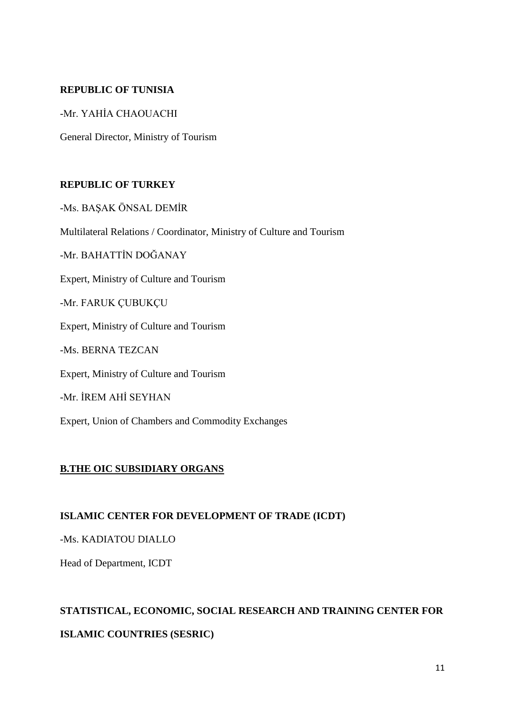#### **REPUBLIC OF TUNISIA**

-Mr. YAHİA CHAOUACHI

General Director, Ministry of Tourism

# **REPUBLIC OF TURKEY**

-Ms. BAŞAK ÖNSAL DEMİR

Multilateral Relations / Coordinator, Ministry of Culture and Tourism

-Mr. BAHATTİN DOĞANAY

Expert, Ministry of Culture and Tourism

-Mr. FARUK ÇUBUKÇU

Expert, Ministry of Culture and Tourism

-Ms. BERNA TEZCAN

Expert, Ministry of Culture and Tourism

-Mr. İREM AHİ SEYHAN

Expert, Union of Chambers and Commodity Exchanges

#### **B.THE OIC SUBSIDIARY ORGANS**

#### **ISLAMIC CENTER FOR DEVELOPMENT OF TRADE (ICDT)**

-Ms. KADIATOU DIALLO

Head of Department, ICDT

# **STATISTICAL, ECONOMIC, SOCIAL RESEARCH AND TRAINING CENTER FOR ISLAMIC COUNTRIES (SESRIC)**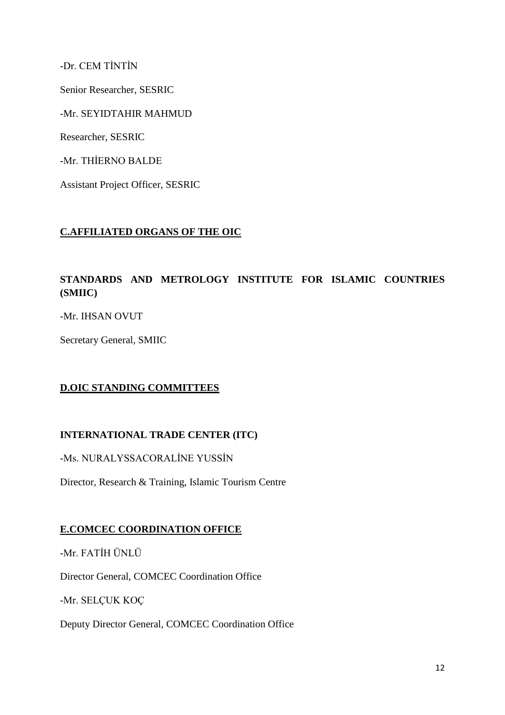-Dr. CEM TİNTİN

Senior Researcher, SESRIC

-Mr. SEYIDTAHIR MAHMUD

Researcher, SESRIC

-Mr. THİERNO BALDE

Assistant Project Officer, SESRIC

#### **C.AFFILIATED ORGANS OF THE OIC**

# **STANDARDS AND METROLOGY INSTITUTE FOR ISLAMIC COUNTRIES (SMIIC)**

-Mr. IHSAN OVUT

Secretary General, SMIIC

# **D.OIC STANDING COMMITTEES**

#### **INTERNATIONAL TRADE CENTER (ITC)**

-Ms. NURALYSSACORALİNE YUSSİN

Director, Research & Training, Islamic Tourism Centre

#### **E.COMCEC COORDINATION OFFICE**

-Mr. FATİH ÜNLÜ

Director General, COMCEC Coordination Office

-Mr. SELÇUK KOÇ

Deputy Director General, COMCEC Coordination Office